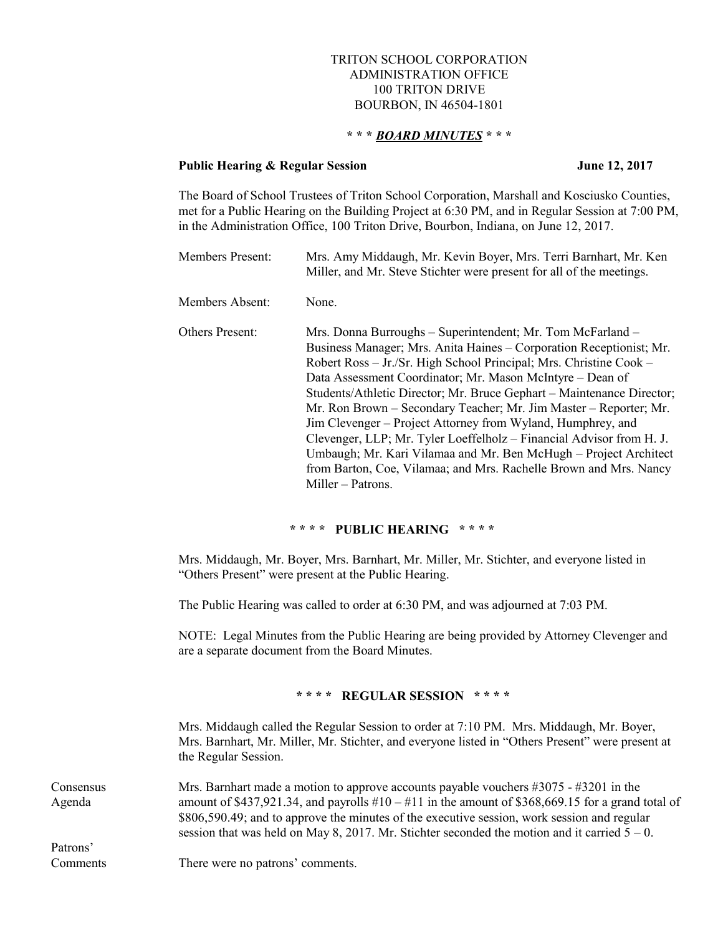# TRITON SCHOOL CORPORATION ADMINISTRATION OFFICE 100 TRITON DRIVE BOURBON, IN 46504-1801

# **\* \* \*** *BOARD MINUTES* **\* \* \***

#### **Public Hearing & Regular Session June 12, 2017**

The Board of School Trustees of Triton School Corporation, Marshall and Kosciusko Counties, met for a Public Hearing on the Building Project at 6:30 PM, and in Regular Session at 7:00 PM, in the Administration Office, 100 Triton Drive, Bourbon, Indiana, on June 12, 2017.

| <b>Members Present:</b> | Mrs. Amy Middaugh, Mr. Kevin Boyer, Mrs. Terri Barnhart, Mr. Ken<br>Miller, and Mr. Steve Stichter were present for all of the meetings.                                                                                                                                                                                                                                                                                                                                                                                                                                                                                                                                                                                |
|-------------------------|-------------------------------------------------------------------------------------------------------------------------------------------------------------------------------------------------------------------------------------------------------------------------------------------------------------------------------------------------------------------------------------------------------------------------------------------------------------------------------------------------------------------------------------------------------------------------------------------------------------------------------------------------------------------------------------------------------------------------|
| Members Absent:         | None.                                                                                                                                                                                                                                                                                                                                                                                                                                                                                                                                                                                                                                                                                                                   |
| <b>Others Present:</b>  | Mrs. Donna Burroughs - Superintendent; Mr. Tom McFarland -<br>Business Manager; Mrs. Anita Haines – Corporation Receptionist; Mr.<br>Robert Ross – Jr./Sr. High School Principal; Mrs. Christine Cook –<br>Data Assessment Coordinator; Mr. Mason McIntyre – Dean of<br>Students/Athletic Director; Mr. Bruce Gephart - Maintenance Director;<br>Mr. Ron Brown – Secondary Teacher; Mr. Jim Master – Reporter; Mr.<br>Jim Clevenger – Project Attorney from Wyland, Humphrey, and<br>Clevenger, LLP; Mr. Tyler Loeffelholz – Financial Advisor from H. J.<br>Umbaugh; Mr. Kari Vilamaa and Mr. Ben McHugh – Project Architect<br>from Barton, Coe, Vilamaa; and Mrs. Rachelle Brown and Mrs. Nancy<br>Miller – Patrons. |

### **\* \* \* \* PUBLIC HEARING \* \* \* \***

Mrs. Middaugh, Mr. Boyer, Mrs. Barnhart, Mr. Miller, Mr. Stichter, and everyone listed in "Others Present" were present at the Public Hearing.

The Public Hearing was called to order at 6:30 PM, and was adjourned at 7:03 PM.

NOTE: Legal Minutes from the Public Hearing are being provided by Attorney Clevenger and are a separate document from the Board Minutes.

## **\* \* \* \* REGULAR SESSION \* \* \* \***

Mrs. Middaugh called the Regular Session to order at 7:10 PM. Mrs. Middaugh, Mr. Boyer, Mrs. Barnhart, Mr. Miller, Mr. Stichter, and everyone listed in "Others Present" were present at the Regular Session.

Consensus Mrs. Barnhart made a motion to approve accounts payable vouchers #3075 - #3201 in the Agenda amount of \$437,921.34, and payrolls #10 – #11 in the amount of \$368,669.15 for a grand total of \$806,590.49; and to approve the minutes of the executive session, work session and regular session that was held on May 8, 2017. Mr. Stichter seconded the motion and it carried  $5 - 0$ .

Patrons'

Comments There were no patrons' comments.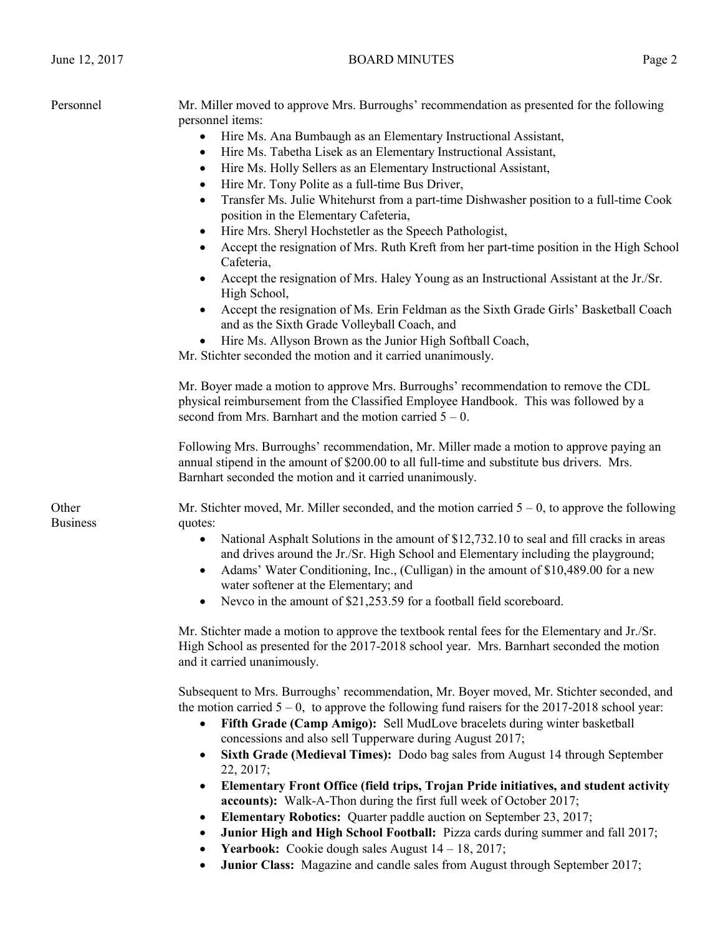| Personnel                | Mr. Miller moved to approve Mrs. Burroughs' recommendation as presented for the following<br>personnel items:<br>Hire Ms. Ana Bumbaugh as an Elementary Instructional Assistant,<br>Hire Ms. Tabetha Lisek as an Elementary Instructional Assistant,<br>٠<br>Hire Ms. Holly Sellers as an Elementary Instructional Assistant,<br>$\bullet$<br>Hire Mr. Tony Polite as a full-time Bus Driver,<br>$\bullet$<br>Transfer Ms. Julie Whitehurst from a part-time Dishwasher position to a full-time Cook<br>$\bullet$<br>position in the Elementary Cafeteria,<br>Hire Mrs. Sheryl Hochstetler as the Speech Pathologist,<br>٠<br>Accept the resignation of Mrs. Ruth Kreft from her part-time position in the High School<br>Cafeteria,<br>Accept the resignation of Mrs. Haley Young as an Instructional Assistant at the Jr./Sr.<br>High School,<br>Accept the resignation of Ms. Erin Feldman as the Sixth Grade Girls' Basketball Coach<br>and as the Sixth Grade Volleyball Coach, and<br>Hire Ms. Allyson Brown as the Junior High Softball Coach,<br>Mr. Stichter seconded the motion and it carried unanimously. |
|--------------------------|-----------------------------------------------------------------------------------------------------------------------------------------------------------------------------------------------------------------------------------------------------------------------------------------------------------------------------------------------------------------------------------------------------------------------------------------------------------------------------------------------------------------------------------------------------------------------------------------------------------------------------------------------------------------------------------------------------------------------------------------------------------------------------------------------------------------------------------------------------------------------------------------------------------------------------------------------------------------------------------------------------------------------------------------------------------------------------------------------------------------------|
|                          | Mr. Boyer made a motion to approve Mrs. Burroughs' recommendation to remove the CDL<br>physical reimbursement from the Classified Employee Handbook. This was followed by a<br>second from Mrs. Barnhart and the motion carried $5 - 0$ .<br>Following Mrs. Burroughs' recommendation, Mr. Miller made a motion to approve paying an<br>annual stipend in the amount of \$200.00 to all full-time and substitute bus drivers. Mrs.                                                                                                                                                                                                                                                                                                                                                                                                                                                                                                                                                                                                                                                                                    |
| Other<br><b>Business</b> | Barnhart seconded the motion and it carried unanimously.<br>Mr. Stichter moved, Mr. Miller seconded, and the motion carried $5 - 0$ , to approve the following<br>quotes:<br>National Asphalt Solutions in the amount of \$12,732.10 to seal and fill cracks in areas<br>and drives around the Jr./Sr. High School and Elementary including the playground;<br>Adams' Water Conditioning, Inc., (Culligan) in the amount of \$10,489.00 for a new<br>٠<br>water softener at the Elementary; and<br>• Nevco in the amount of \$21,253.59 for a football field scoreboard.<br>Mr. Stichter made a motion to approve the textbook rental fees for the Elementary and Jr./Sr.<br>High School as presented for the 2017-2018 school year. Mrs. Barnhart seconded the motion                                                                                                                                                                                                                                                                                                                                                |
|                          | and it carried unanimously.<br>Subsequent to Mrs. Burroughs' recommendation, Mr. Boyer moved, Mr. Stichter seconded, and<br>the motion carried $5 - 0$ , to approve the following fund raisers for the 2017-2018 school year:<br>Fifth Grade (Camp Amigo): Sell MudLove bracelets during winter basketball<br>concessions and also sell Tupperware during August 2017;<br>Sixth Grade (Medieval Times): Dodo bag sales from August 14 through September<br>22, 2017;<br>Elementary Front Office (field trips, Trojan Pride initiatives, and student activity<br>$\bullet$<br>accounts): Walk-A-Thon during the first full week of October 2017;<br>Elementary Robotics: Quarter paddle auction on September 23, 2017;<br>$\bullet$<br>Junior High and High School Football: Pizza cards during summer and fall 2017;<br><b>Yearbook:</b> Cookie dough sales August $14 - 18$ , 2017;<br>$\bullet$<br>Junior Class: Magazine and candle sales from August through September 2017;                                                                                                                                      |

June 12, 2017 BOARD MINUTES Page 2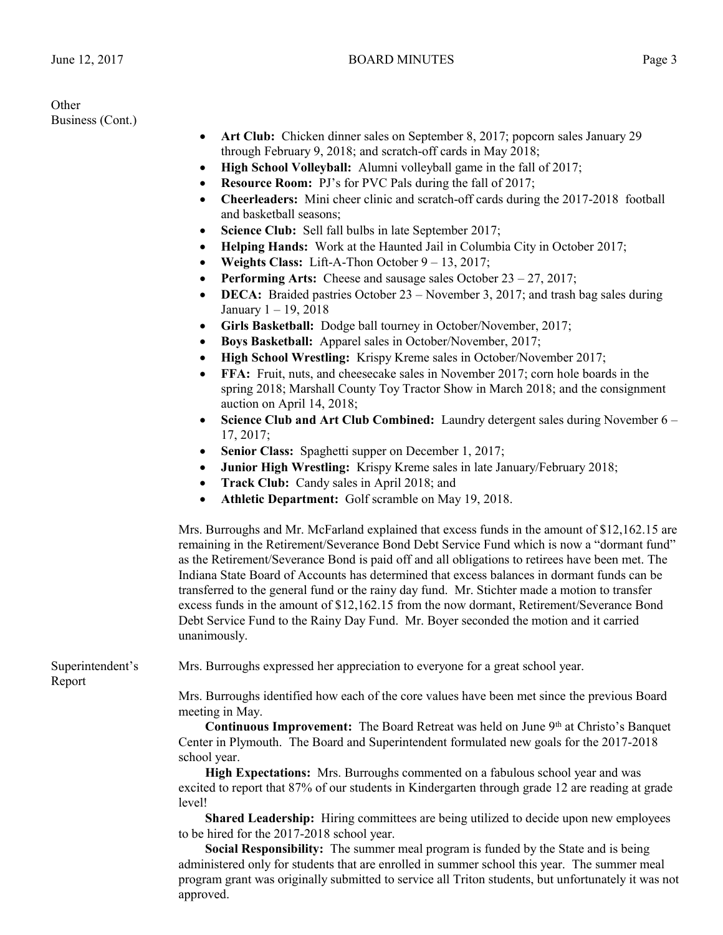**Other** Business (Cont.)

- Art Club: Chicken dinner sales on September 8, 2017; popcorn sales January 29 through February 9, 2018; and scratch-off cards in May 2018;
- **High School Volleyball:** Alumni volleyball game in the fall of 2017;
- **Resource Room:** PJ's for PVC Pals during the fall of 2017;
- **Cheerleaders:** Mini cheer clinic and scratch-off cards during the 2017-2018 football and basketball seasons;
- **Science Club:** Sell fall bulbs in late September 2017;
- **Helping Hands:** Work at the Haunted Jail in Columbia City in October 2017;
- **Weights Class:** Lift-A-Thon October 9 13, 2017;
- **Performing Arts:** Cheese and sausage sales October 23 27, 2017;
- **DECA:** Braided pastries October 23 November 3, 2017; and trash bag sales during January 1 – 19, 2018
- **Girls Basketball:** Dodge ball tourney in October/November, 2017;
- **Boys Basketball:** Apparel sales in October/November, 2017;
- **High School Wrestling:** Krispy Kreme sales in October/November 2017;
- **FFA:** Fruit, nuts, and cheesecake sales in November 2017; corn hole boards in the spring 2018; Marshall County Toy Tractor Show in March 2018; and the consignment auction on April 14, 2018;
- **Science Club and Art Club Combined:** Laundry detergent sales during November 6 17, 2017;
- **Senior Class:** Spaghetti supper on December 1, 2017;
- **Junior High Wrestling:** Krispy Kreme sales in late January/February 2018;
- Track Club: Candy sales in April 2018; and
- **Athletic Department:** Golf scramble on May 19, 2018.

Mrs. Burroughs and Mr. McFarland explained that excess funds in the amount of \$12,162.15 are remaining in the Retirement/Severance Bond Debt Service Fund which is now a "dormant fund" as the Retirement/Severance Bond is paid off and all obligations to retirees have been met. The Indiana State Board of Accounts has determined that excess balances in dormant funds can be transferred to the general fund or the rainy day fund. Mr. Stichter made a motion to transfer excess funds in the amount of \$12,162.15 from the now dormant, Retirement/Severance Bond Debt Service Fund to the Rainy Day Fund. Mr. Boyer seconded the motion and it carried unanimously.

Report

Superintendent's Mrs. Burroughs expressed her appreciation to everyone for a great school year.

Mrs. Burroughs identified how each of the core values have been met since the previous Board meeting in May.

Continuous Improvement: The Board Retreat was held on June 9<sup>th</sup> at Christo's Banquet Center in Plymouth. The Board and Superintendent formulated new goals for the 2017-2018 school year.

**High Expectations:** Mrs. Burroughs commented on a fabulous school year and was excited to report that 87% of our students in Kindergarten through grade 12 are reading at grade level!

**Shared Leadership:** Hiring committees are being utilized to decide upon new employees to be hired for the 2017-2018 school year.

**Social Responsibility:** The summer meal program is funded by the State and is being administered only for students that are enrolled in summer school this year. The summer meal program grant was originally submitted to service all Triton students, but unfortunately it was not approved.